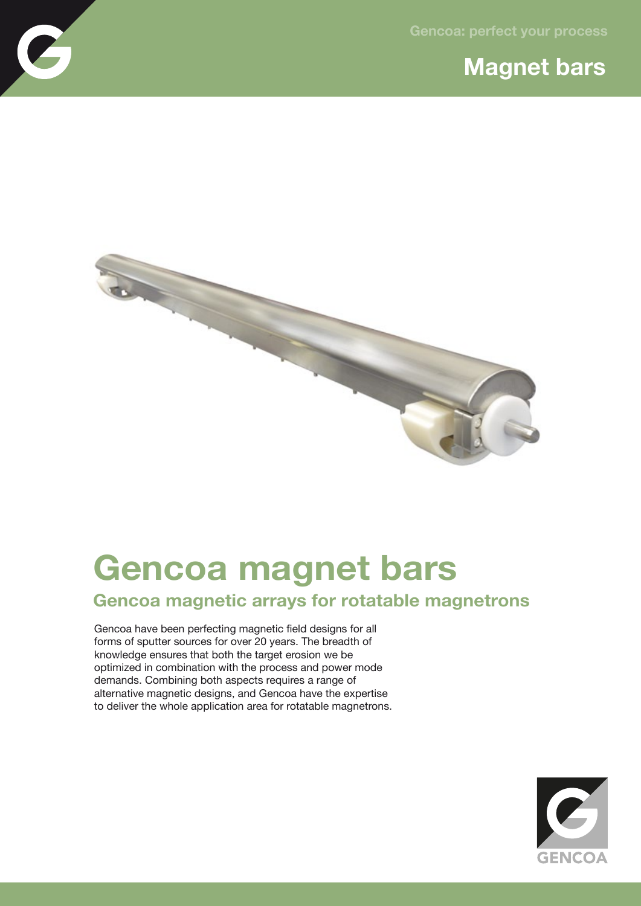## **Magnet bars**



## **Gencoa magnet bars**

## **Gencoa magnetic arrays for rotatable magnetrons**

Gencoa have been perfecting magnetic field designs for all forms of sputter sources for over 20 years. The breadth of knowledge ensures that both the target erosion we be optimized in combination with the process and power mode demands. Combining both aspects requires a range of alternative magnetic designs, and Gencoa have the expertise to deliver the whole application area for rotatable magnetrons.